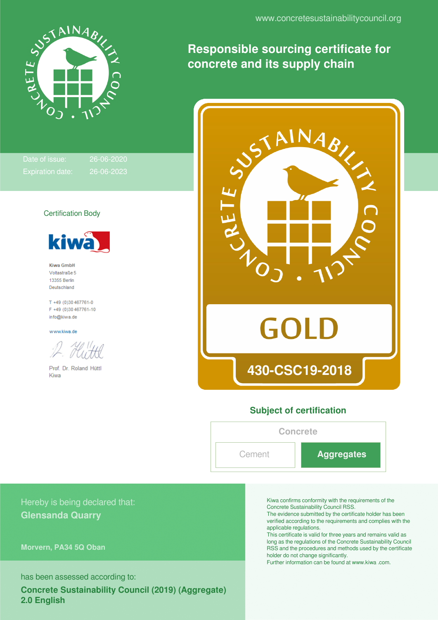

Date of issue: 26-06-2020

Certification Body

kiw

Kiwa GmbH Voltastraße 5 13355 Berlin Deutschland

T +49 (0)30 467761-0 F +49 (0)30 467761-10 info@kiwa.de

Prof. Dr. Roland Hüttl

www.kiwa.de

Kiwa

**Responsible sourcing certificate for concrete and its supply chain**



#### **Subject of certification**

# **Concrete**

Cement **Aggregates**

### Hereby is being declared that: **Glensanda Quarry**

**Morvern, PA34 5Q Oban**

has been assessed according to:

**Concrete Sustainability Council (2019) (Aggregate) 2.0 English**

Kiwa confirms conformity with the requirements of the Concrete Sustainability Council RSS.

The evidence submitted by the certificate holder has been verified according to the requirements and complies with the applicable regulations.

This certificate is valid for three years and remains valid as long as the regulations of the Concrete Sustainability Council RSS and the procedures and methods used by the certificate holder do not change significantly.

Further information can be found at www.kiwa .com.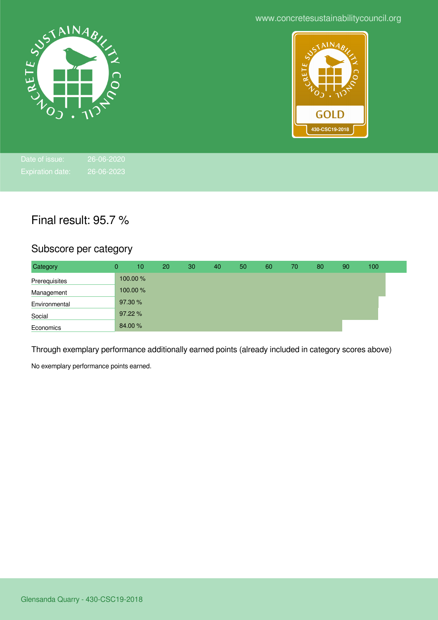www.concretesustainabilitycouncil.org





## Final result: 95.7 %

## Subscore per category

| Category      | 0       | 10      | 20 | 30 | 40 | 50 | 60 | 70 | 80 | 90 | 100 |  |
|---------------|---------|---------|----|----|----|----|----|----|----|----|-----|--|
| Prerequisites |         | 100.00% |    |    |    |    |    |    |    |    |     |  |
| Management    |         | 100.00% |    |    |    |    |    |    |    |    |     |  |
| Environmental | 97.30 % |         |    |    |    |    |    |    |    |    |     |  |
| Social        | 97.22%  |         |    |    |    |    |    |    |    |    |     |  |
| Economics     | 84.00 % |         |    |    |    |    |    |    |    |    |     |  |

Through exemplary performance additionally earned points (already included in category scores above)

No exemplary performance points earned.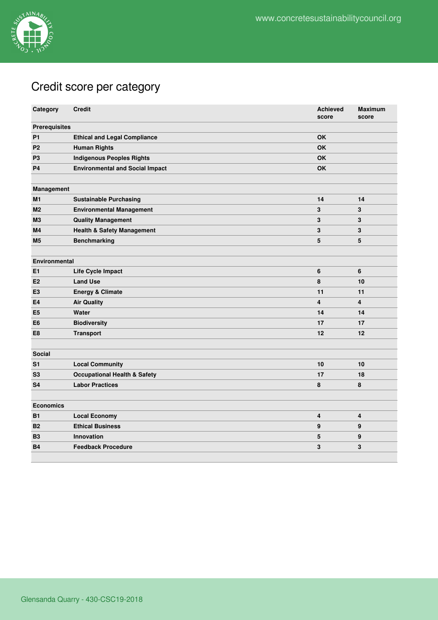

## Credit score per category

| Category             | <b>Credit</b>                           | <b>Achieved</b><br>score | <b>Maximum</b><br>score |
|----------------------|-----------------------------------------|--------------------------|-------------------------|
| <b>Prerequisites</b> |                                         |                          |                         |
| <b>P1</b>            | <b>Ethical and Legal Compliance</b>     | <b>OK</b>                |                         |
| P2                   | <b>Human Rights</b>                     | OK                       |                         |
| P <sub>3</sub>       | <b>Indigenous Peoples Rights</b>        | <b>OK</b>                |                         |
| P <sub>4</sub>       | <b>Environmental and Social Impact</b>  | <b>OK</b>                |                         |
|                      |                                         |                          |                         |
| Management           |                                         |                          |                         |
| M1                   | <b>Sustainable Purchasing</b>           | 14                       | 14                      |
| M2                   | <b>Environmental Management</b>         | $\mathbf 3$              | 3                       |
| M <sub>3</sub>       | <b>Quality Management</b>               | 3                        | 3                       |
| M4                   | <b>Health &amp; Safety Management</b>   | 3                        | 3                       |
| M5                   | <b>Benchmarking</b>                     | $5\phantom{.0}$          | 5                       |
|                      |                                         |                          |                         |
| <b>Environmental</b> |                                         |                          |                         |
| E1                   | Life Cycle Impact                       | 6                        | 6                       |
| E2                   | <b>Land Use</b>                         | 8                        | 10                      |
| E <sub>3</sub>       | <b>Energy &amp; Climate</b>             | 11                       | 11                      |
| E4                   | <b>Air Quality</b>                      | $\overline{\mathbf{4}}$  | $\overline{4}$          |
| E <sub>5</sub>       | Water                                   | 14                       | 14                      |
| E6                   | <b>Biodiversity</b>                     | 17                       | 17                      |
| E8                   | <b>Transport</b>                        | 12                       | 12                      |
|                      |                                         |                          |                         |
| <b>Social</b>        |                                         |                          |                         |
| S <sub>1</sub>       | <b>Local Community</b>                  | 10                       | 10                      |
| S3                   | <b>Occupational Health &amp; Safety</b> | 17                       | 18                      |
| S4                   | <b>Labor Practices</b>                  | 8                        | 8                       |
|                      |                                         |                          |                         |
| <b>Economics</b>     |                                         |                          |                         |
| <b>B1</b>            | <b>Local Economy</b>                    | 4                        | 4                       |
| <b>B2</b>            | <b>Ethical Business</b>                 | 9                        | 9                       |
| <b>B3</b>            | <b>Innovation</b>                       | 5                        | 9                       |
| <b>B4</b>            | <b>Feedback Procedure</b>               | 3                        | 3                       |
|                      |                                         |                          |                         |